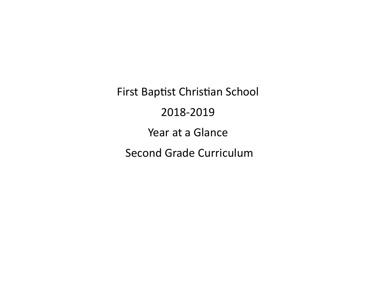First Baptist Christian School

### 2018-2019

Year at a Glance

Second Grade Curriculum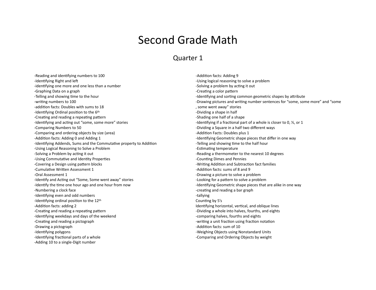### Second Grade Math

#### Quarter 1

-Reading and identifying numbers to 100 -Identifying Right and left -identifying one more and one less than a number -Graphing Data on a graph -Telling and showing time to the hour -writing numbers to 100 -addition facts: Doubles with sums to 18 -Identifying Ordinal position to the 6th -Creating and reading a repeating pattern -Identifying and acting out "some, some more" stories -Comparing Numbers to 50 -Comparing and ordering objects by size (area) -Addition facts: Adding 0 and Adding 1 -Identifying Addends, Sums and the Commutative property to Addition -Using Logical Reasoning to Solve a Problem -Solving a Problem by acting it out -Using Commutative and Identity Properties -Covering a Design using pattern blocks -Cumulative Written Assessment 1 -Oral Assessment 1 -Identify and Acting out "Some, Some went away" stories -Identify the time one hour ago and one hour from now -Numbering a clock face -Identifying even and odd numbers -Identifying ordinal position to the 12th -Addition facts: adding 2 -Creating and reading a repeating pattern -Identifying weekdays and days of the weekend -Creating and reading a pictograph -Drawing a pictograph -Identifying polygons -Identifying fractional parts of a whole

-Adding 10 to a single-Digit number

-Addition facts: Adding 9 -Using logical reasoning to solve a problem -Solving a problem by acting it out -Creating a color pattern -Identifying and sorting common geometric shapes by attribute -Drawing pictures and writing number sentences for "some, some more" and "some , some went away" stories -Dividing a shape in half -Shading one half of a shape -Identifying if a fractional part of a whole is closer to 0,  $\frac{1}{2}$ , or 1 -Dividing a Square in a half two different ways -Addition Facts: Doubles plus 1 -Identifying Geometric shape pieces that differ in one way -Telling and showing time to the half hour -Estimating temperature -Reading a thermometer to the nearest 10 degrees -Counting Dimes and Pennies -Writing Addition and Subtraction fact families -Addition facts: sums of 8 and 9 -Drawing a picture to solve a problem -Looking for a pattern to solve a problem -Identifying Geometric shape pieces that are alike in one way -creating and reading a bar graph -tallying Counting by 5's Identifying horizontal, vertical, and oblique lines -Dividing a whole into halves, fourths, and eights -comparing halves, fourths and eights -writing a unit fraction using fraction notation -Addition facts: sum of 10 -Weighing Objects using Nonstandard Units -Comparing and Ordering Objects by weight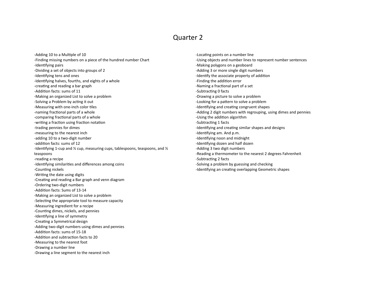-Adding 10 to a Multiple of 10 -Finding missing numbers on a piece of the hundred number Chart -Identifying pairs -Dividing a set of objects into groups of 2 -Identifying tens and ones -Identifying halves, fourths, and eights of a whole -creating and reading a bar graph -Addition facts: sums of 11 -Making an organized List to solve a problem -Solving a Problem by acting it out -Measuring with one-inch color tiles -naming fractional parts of a whole -comparing fractional parts of a whole -writing a fraction using fraction notation -trading pennies for dimes -measuring to the nearest inch -adding 10 to a two-digit number -addition facts: sums of 12 -Identifying 1-cup and ½ cup, measuring cups, tablespoons, teaspoons, and ½ teaspoons -reading a recipe -Identifying similarities and differences among coins -Counting nickels -Writing the date using digits -Creating and reading a Bar graph and venn diagram -Ordering two-digit numbers -Addition facts: Sums of 13-14 -Making an organized List to solve a problem -Selecting the appropriate tool to measure capacity -Measuring ingredient for a recipe -Counting dimes, nickels, and pennies -Identifying a line of symmetry -Creating a Symmetrical design -Adding two-digit numbers using dimes and pennies -Addition facts: sums of 15-18 -Addition and subtraction facts to 20 -Measuring to the nearest foot -Drawing a number line -Drawing a line segment to the nearest inch

-Locating points on a number line -Using objects and number lines to represent number sentences -Making polygons on a geoboard -Adding 3 or more single digit numbers -Identify the associate property of addition -Finding the addition error -Naming a fractional part of a set -Subtracting 0 facts -Drawing a picture to solve a problem -Looking for a pattern to solve a problem -Identifying and creating congruent shapes -Adding 2 digit numbers with regrouping, using dimes and pennies -Using the addition algorithm -Subtracting 1 facts -Identifying and creating similar shapes and designs -Identifying am. And p.m. -Identifying noon and midnight -Identifying dozen and half dozen -Adding 3 two digit numbers -Reading a thermometer to the nearest 2 degrees Fahrenheit -Subtracting 2 facts -Solving a problem by guessing and checking -Identifying an creating overlapping Geometric shapes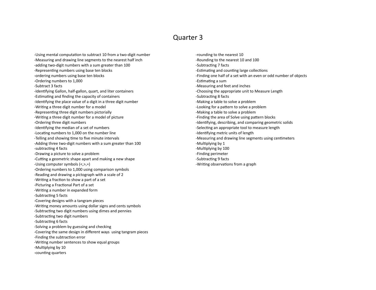-Using mental computation to subtract 10 from a two-digit number -Measuring and drawing line segments to the nearest half inch -adding two-digit numbers with a sum greater than 100 -Representing numbers using base ten blocks -ordering numbers using base ten blocks -Ordering numbers to 1,000 -Subtract 3 facts -Identifying Gallon, half-gallon, quart, and liter containers -Estimating and finding the capacity of containers -Identifying the place value of a digit in a three digit number -Writing a three digit number for a model -Representing three digit numbers pictorially -Writing a three digit number for a model of picture -Ordering three digit numbers -Identifying the median of a set of numbers -Locating numbers to 1,000 on the number line -Telling and showing time to five minute intervals -Adding three two-digit numbers with a sum greater than 100 -subtracting 4 facts -Drawing a picture to solve a problem -Cutting a geometric shape apart and making a new shape -Using computer symbols (<,>,=) -Ordering numbers to 1,000 using comparison symbols -Reading and drawing a pictograph with a scale of 2 -Writing a fraction to show a part of a set -Picturing a Fractional Part of a set -Writing a number in expanded form -Subtracting 5 facts -Covering designs with a tangram pieces -Writing money amounts using dollar signs and cents symbols -Subtracting two digit numbers using dimes and pennies -Subtracting two digit numbers -Subtracting 6 facts -Solving a problem by guessing and checking -Covering the same design in different ways using tangram pieces -Finding the subtraction error -Writing number sentences to show equal groups -Multiplying by 10 -counting quarters

-rounding to the nearest 10 -Rounding to the nearest 10 and 100 -Subtracting 7 facts -Estimating and counting large collections -Finding one half of a set with an even or odd number of objects -Estimating a sum -Measuring and feet and inches -Choosing the appropriate unit to Measure Length -Subtracting 8 facts -Making a table to solve a problem -Looking for a pattern to solve a problem -Making a table to solve a problem -Finding the area of Solve using pattern blocks -Identifying, describing, and comparing geometric solids -Selecting an appropriate tool to measure length -Identifying metric units of length -Measuring and drawing line segments using centimeters -Multiplying by 1 -Multiplying by 100 -Finding perimeter -Subtracting 9 facts -Writing observations from a graph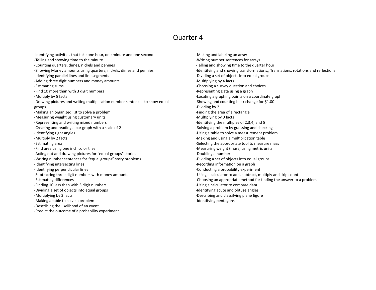-identifying activities that take one hour, one minute and one second -Telling and showing time to the minute -Counting quarters, dimes, nickels and pennies -Showing Money amounts using quarters, nickels, dimes and pennies -Identifying parallel lines and line segments -Adding three digit numbers and money amounts -Estimating sums -Find 10 more than with 3 digit numbers -Multiply by 5 facts -Drawing pictures and writing multiplication number sentences to show equal groups -Making an organized list to solve a problem -Measuring weight using customary units -Representing and writing mixed numbers -Creating and reading a bar graph with a scale of 2 -Identifying right angles -Multiply by 2 facts -Estimating area -Find area using one inch color tiles -Acting out and drawing pictures for "equal-groups" stories -Writing number sentences for "equal groups" story problems -Identifying intersecting lines -Identifying perpendicular lines -Subtracting three digit numbers with money amounts -Estimating differences -Finding 10 less than with 3 digit numbers -Dividing a set of objects into equal groups -Multiplying by 3 facts -Making a table to solve a problem -Describing the likelihood of an event -Predict the outcome of a probability experiment

-Making and labeling an array -Writing number sentences for arrays -Telling and showing time to the quarter hour -Identifying and showing transformations,; Translations, rotations and reflections -Dividing a set of objects into equal groups -Multiplying by 4 facts -Choosing a survey question and choices -Representing Data using a graph -Locating a graphing points on a coordinate graph -Showing and counting back change for \$1.00 -Dividing by 2 -Finding the area of a rectangle -Multiplying by 0 facts -Identifying the multiples of 2,3,4, and 5 -Solving a problem by guessing and checking -Using a table to solve a measurement problem -Making and using a multiplication table -Selecting the appropriate tool to measure mass -Measuring weight (mass) using metric units -Doubling a number -Dividing a set of objects into equal groups -Recording information on a graph -Conducting a probability experiment -Using a calculator to add, subtract, multiply and skip count -Choosing an appropriate method for finding the answer to a problem -Using a calculator to compare data -Identifying acute and obtuse angles -Describing and classifying plane figure -Identifying pentagons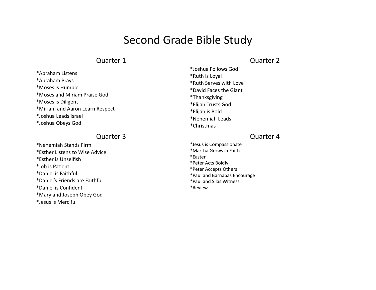# Second Grade Bible Study

| <b>Quarter 1</b><br>*Abraham Listens<br>*Abraham Prays<br>*Moses is Humble<br>*Moses and Miriam Praise God<br>*Moses is Diligent<br>*Miriam and Aaron Learn Respect<br>*Joshua Leads Israel<br>*Joshua Obeys God                                    | <b>Quarter 2</b><br>*Joshua Follows God<br>*Ruth is Loyal<br>*Ruth Serves with Love<br>*David Faces the Giant<br><i>*</i> Thanksgiving<br>*Elijah Trusts God<br>*Elijah is Bold<br>*Nehemiah Leads<br>*Christmas |
|-----------------------------------------------------------------------------------------------------------------------------------------------------------------------------------------------------------------------------------------------------|------------------------------------------------------------------------------------------------------------------------------------------------------------------------------------------------------------------|
| Quarter 3<br>*Nehemiah Stands Firm<br>*Esther Listens to Wise Advice<br>*Esther is Unselfish<br>*Job is Patient<br>*Daniel is Faithful<br>*Daniel's Friends are Faithful<br>*Daniel is Confident<br>*Mary and Joseph Obey God<br>*Jesus is Merciful | <b>Quarter 4</b><br>*Jesus is Compassionate<br>*Martha Grows in Faith<br>*Easter<br>*Peter Acts Boldly<br>*Peter Accepts Others<br>*Paul and Barnabas Encourage<br>*Paul and Silas Witness<br>*Review            |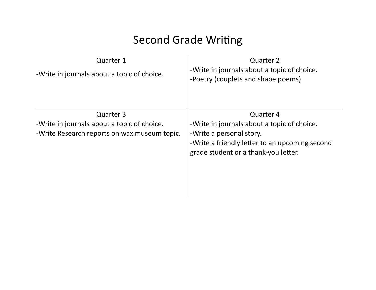## Second Grade Writing

| <b>Quarter 1</b><br>-Write in journals about a topic of choice.                                          | <b>Quarter 2</b><br>-Write in journals about a topic of choice.<br>-Poetry (couplets and shape poems)                                                                          |
|----------------------------------------------------------------------------------------------------------|--------------------------------------------------------------------------------------------------------------------------------------------------------------------------------|
| Quarter 3<br>-Write in journals about a topic of choice.<br>-Write Research reports on wax museum topic. | Quarter 4<br>-Write in journals about a topic of choice.<br>-Write a personal story.<br>-Write a friendly letter to an upcoming second<br>grade student or a thank-you letter. |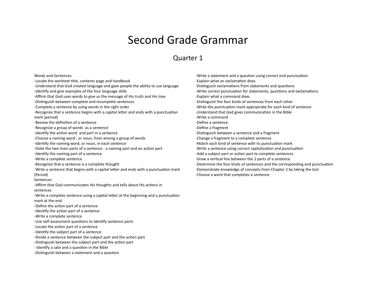### Second Grade Grammar

#### Quarter 1

#### Words and Sentences

- -Locate the worktext title, contents page and handbook
- -Understand that God created language and gave people the ability to use language
- -Identify and give examples of the four language skills
- -Affirm that God uses words to give us the message of His truth and His love
- -Distinguish between complete and incomplete sentences
- -Complete a sentence by using words in the right order
- -Recognize that a sentence begins with a capital letter and ends with a punctuation mark (period)
- -Review the definition of a sentence
- -Recognize a group of words as a sentence
- -Identify the action word and part in a sentence
- -Choose a naming word , or noun, from among a group of words
- -Identify the naming word, or noun, in each sentence
- -State the two main parts of a sentence : a naming part and an action part
- -Identify the naming part of a sentence
- -Write a complete sentence
- -Recognize that a sentence is a complete thought
- -Write a sentence that begins with a capital letter and ends with a punctuation mark (Period)
- Sentences
- -Affirm that God communicates His thoughts and tells about His actions in sentences
- -Write a complete sentence using a capital letter at the beginning and a punctuation mark at the end
- -Define the action part of a sentence
- -Identify the action part of a sentence
- -Write a complete sentence
- -Use self-assessment questions to identify sentence parts
- -Locate the action part of a sentence
- -Identify the subject part of a sentence
- -Divide a sentence between the subject part and the action part
- -Distinguish between the subject part and the action part
- Identify a sate and a question in the Bible
- -Distinguish between a statement and a question

-Write a statement and a question using correct end punctuation -Explain what an exclamation does -Distinguish exclamations from statements and questions -Write correct punctuation for statements, questions and exclamations -Explain what a command does -Distinguish the four kinds of sentences from each other -Write the punctuation mark appropriate for each kind of sentence -Understand that God gives communication in the Bible -Write a command -Define a sentence -Define a fragment -Distinguish between a sentence and a fragment -Change a fragment to a complete sentence -Match each kind of sentence with its punctuation mark -Write a sentence using correct capitalization and punctuation -Add a subject part or action part to complete sentences -Draw a vertical line between the 2 parts of a sentence -Determine the four kinds of sentences and the corresponding end punctuation -Demonstrate knowledge of concepts from Chapter 2 by taking the test -Choose a word that completes a sentence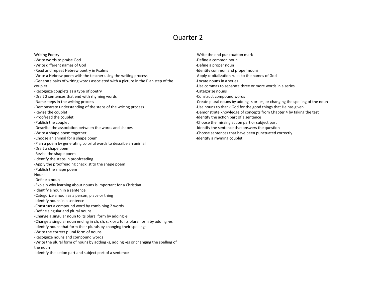Writing Poetry -Write words to praise God -Write different names of God -Read and repeat Hebrew poetry in Psalms -Write a Hebrew poem with the teacher using the writing process -Generate pairs of writing words associated with a picture in the Plan step of the couplet -Recognize couplets as a type of poetry -Draft 2 sentences that end with rhyming words -Name steps in the writing process -Demonstrate understanding of the steps of the writing process -Revise the couplet -Proofread the couplet -Publish the couplet -Describe the association between the words and shapes -Write a shape poem together -Choose an animal for a shape poem -Plan a poem by generating colorful words to describe an animal -Draft a shape poem -Revise the shape poem -Identify the steps in proofreading -Apply the proofreading checklist to the shape poem -Publish the shape poem Nouns -Define a noun -Explain why learning about nouns is important for a Christian -Identify a noun in a sentence -Categorize a noun as a person, place or thing -Identify nouns in a sentence -Construct a compound word by combining 2 words -Define singular and plural nouns -Change a singular noun to its plural form by adding -s -Change a singular noun ending in ch, sh, s, x or z to its plural form by adding -es -Identify nouns that form their plurals by changing their spellings -Write the correct plural form of nouns -Recognize nouns and compound words -Write the plural form of nouns by adding -s, adding -es or changing the spelling of the noun -Identify the action part and subject part of a sentence

-Write the end punctuation mark -Define a common noun -Define a proper noun -Identify common and proper nouns -Apply capitalization rules to the names of God -Locate nouns in a series -Use commas to separate three or more words in a series -Categorize nouns -Construct compound words -Create plural nouns by adding -s or -es, or changing the spelling of the noun -Use nouns to thank God for the good things that He has given -Demonstrate knowledge of concepts from Chapter 4 by taking the test -Identify the action part of a sentence -Choose the missing action part or subject part -Identify the sentence that answers the question -Choose sentences that have been punctuated correctly -Identify a rhyming couplet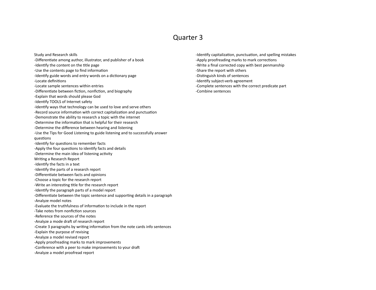Study and Research skills -Differentiate among author, illustrator, and publisher of a book -Identify the content on the title page -Use the contents page to find information -Identify guide words and entry words on a dictionary page -Locate definitions -Locate sample sentences within entries -Differentiate between fiction, nonfiction, and biography -Explain that words should please God -Identify TOOLS of Internet safety -Identify ways that technology can be used to love and serve others -Record source information with correct capitalization and punctuation -Demonstrate the ability to research a topic with the internet -Determine the information that is helpful for their research -Determine the difference between hearing and listening -Use the Tips for Good Listening to guide listening and to successfully answer questions -Identify for questions to remember facts -Apply the four questions to identify facts and details -Determine the main idea of listening activity Writing a Research Report -Identify the facts in a text -Identify the parts of a research report -Differentiate between facts and opinions -Choose a topic for the research report -Write an interesting title for the research report -Identify the paragraph parts of a model report -Differentiate between the topic sentence and supporting details in a paragraph -Analyze model notes -Evaluate the truthfulness of information to include in the report -Take notes from nonfiction sources -Reference the sources of the notes -Analyze a mode draft of research report -Create 3 paragraphs by writing information from the note cards info sentences -Explain the purpose of revising -Analyze a model revised report -Apply proofreading marks to mark improvements -Conference with a peer to make improvements to your draft -Analyze a model proofread report

-Identify capitalization, punctuation, and spelling mistakes -Apply proofreading marks to mark corrections -Write a final corrected copy with best penmanship -Share the report with others -Distinguish kinds of sentences -Identify subject-verb agreement -Complete sentences with the correct predicate part -Combine sentences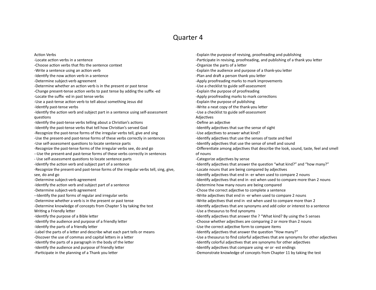Action Verbs

-Locate action verbs in a sentence -Choose action verbs that fits the sentence context -Write a sentence using an action verb -Identify the now action verb in a sentence -Determine subject-verb agreement -Determine whether an action verb is in the present or past tense -Change present-tense action verbs to past tense by adding the suffix -ed -Locate the suffix -ed in past tense verbs -Use a past-tense action verb to tell about something Jesus did -Identify past-tense verbs -Identify the action verb and subject part in a sentence using self-assessment questions -Identify the past-tense verbs telling about a Christian's actions -Identify the past-tense verbs that tell how Christian's served God -Recognize the past-tense forms of the irregular verbs tell, give and sing -Use the present-and past-tense forms of these verbs correctly in sentences -Use self-assessment questions to locate sentence parts -Recognize the past-tense forms of the irregular verbs see, do and go --Use the present-and past-tense forms of these verbs correctly in sentences - Use self-assessment questions to locate sentence parts -Identify the action verb and subject part of a sentence -Recognize the present-and past-tense forms of the irregular verbs tell, sing, give, see, do and go -Determine subject-verb agreement -Identify the action verb and subject part of a sentence -Determine subject-verb agreement --Identify the past forms of regular and irregular verbs -Determine whether a verb is in the present or past tense -Determine knowledge of concepts from Chapter 5 by taking the test Writing a Friendly letter -Identify the purpose of a Bible letter -Identify the audience and purpose of a friendly letter -Identify the parts of a friendly letter -Label the parts of a letter and describe what each part tells or means -Discover the use of commas and capital letters in a letter -Identify the parts of a paragraph in the body of the letter -Identify the audience and purpose of friendly letter -Participate in the planning of a Thank you letter

-Explain the purpose of revising, proofreading and publishing -Participate in revising, proofreading, and publishing of a thank you letter -Organize the parts of a letter -Explain the audience and purpose of a thank-you letter -Plan and draft a person thank you letter -Apply proofreading marks to mark improvements -Use a checklist to guide self-assessment -Explain the purpose of proofreading -Apply proofreading marks to mark corrections -Explain the purpose of publishing -Write a neat copy of the thank-you letter -Use a checklist to guide self-assessment Adjectives -Define an adjective -Identify adjectives that sue the sense of sight -Use adjectives to answer what kind? -Identify adjectives that use the senses of taste and feel -Identify adjectives that use the sense of smell and sound -Differentiate among adjectives that describe the look, sound, taste, feel and smell of nouns -Categorize adjectives by sense -Identify adjectives that answer the question "what kind?" and "how many?" -Locate nouns that are being compared by adjectives -Identify adjectives that end in -er when used to compare 2 nouns -Identify adjectives that end in -est when used to compare more than 2 nouns -Determine how many nouns are being compared -Chose the correct adjective to complete a sentence -Write adjectives that end in -er when used to compare 2 nouns -Write adjectives that end in -est when used to compare more than 2 -Identify adjectives that are synonyms and add color or interest to a sentence -Use a thesaurus to find synonyms -Identify adjectives that answer the ? "What kind? By using the 5 senses -Choose whether adjectives are comparing 2 or more than 2 nouns -Use the correct adjective form to compare items -Identify adjectives that answer the question "How many?" -Use a thesaurus to find colorful adjectives that are synonyms for other adjectives -Identify colorful adjectives that are synonyms for other adjectives -Identify adjectives that compare using -er or -est endings -Demonstrate knowledge of concepts from Chapter 11 by taking the test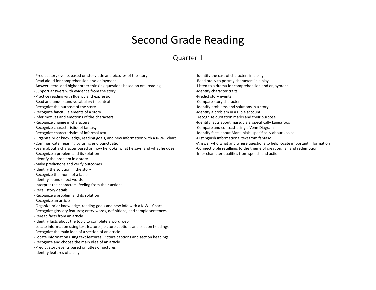### Second Grade Reading

#### Quarter 1

-Predict story events based on story title and pictures of the story

-Read aloud for comprehension and enjoyment

-Answer literal and higher order thinking questions based on oral reading

-Support answers with evidence from the story

-Practice reading with fluency and expression

-Read and understand vocabulary in context

-Recognize the purpose of the story

-Recognize fanciful elements of a story

-Infer motives and emotions of the characters

-Recognize change in characters

-Recognize characteristics of fantasy

-Recognize characteristics of informal text

-Organize prior knowledge, reading goals, and new information with a K-W-L chart

-Communicate meaning by using end punctuation

-Learn about a character based on how he looks, what he says, and what he does

-Recognize a problem and its solution

-Identify the problem in a story

-Make predictions and verify outcomes

-Identify the solution in the story

-Recognize the moral of a fable

-Identify sound effect words

-Interpret the characters' feeling from their actions

-Recall story details

-Recognize a problem and its solution

-Recognize an article

-Organize prior knowledge, reading goals and new info with a K-W-L Chart -Recognize glossary features; entry words, definitions, and sample sentences

-Reread facts from an article

-Identify facts about the topic to complete a word web

-Locate information using text features; picture captions and section headings

-Recognize the main idea of a section of an article

-Locate information using text features: Picture captions and section headings

-Recognize and choose the main idea of an article

-Predict story events based on titles or pictures

-Identify features of a play

-Identify the cast of characters in a play -Read orally to portray characters in a play -Listen to a drama for comprehension and enjoyment -Identify character traits -Predict story events -Compare story characters -Identify problems and solutions in a story -Identify a problem in a Bible account \_recognize quotation marks and their purpose -Identify facts about marsupials, specifically kangaroos -Compare and contrast using a Venn Diagram -Identify facts about Marsupials, specifically about koalas -Distinguish informational text from fantasy -Answer who what and where questions to help locate important information -Connect Bible retellings to the theme of creation, fall and redemption -Infer character qualities from speech and action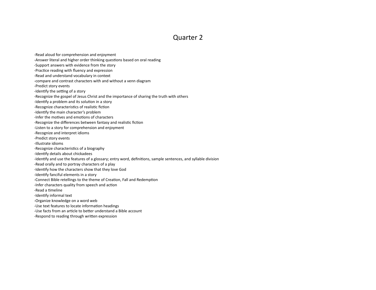- -Read aloud for comprehension and enjoyment
- -Answer literal and higher order thinking questions based on oral reading
- -Support answers with evidence from the story
- -Practice reading with fluency and expression
- -Read and understand vocabulary in context
- -compare and contrast characters with and without a venn diagram
- -Predict story events
- -Identify the setting of a story
- -Recognize the gospel of Jesus Christ and the importance of sharing the truth with others
- -Identify a problem and its solution in a story
- -Recognize characteristics of realistic fiction
- -Identify the main character's problem
- -Infer the motives and emotions of characters
- -Recognize the differences between fantasy and realistic fiction
- -Listen to a story for comprehension and enjoyment
- -Recognize and interpret idioms
- -Predict story events
- -Illustrate idioms
- -Recognize characteristics of a biography
- -Identify details about chickadees
- -Identify and use the features of a glossary; entry word, definitions, sample sentences, and syllable division
- -Read orally and to portray characters of a play
- -Identify how the characters show that they love God
- -Identify fanciful elements in a story
- -Connect Bible retellings to the theme of Creation, Fall and Redemption
- -Infer characters quality from speech and action
- -Read a timeline
- -Identify informal text
- -Organize knowledge on a word web
- -Use text features to locate information headings
- -Use facts from an article to better understand a Bible account
- -Respond to reading through written expression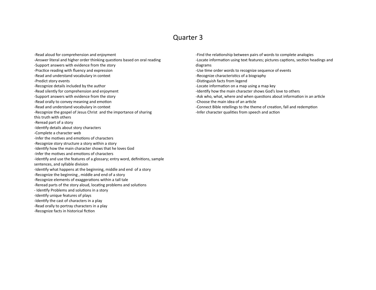-Read aloud for comprehension and enjoyment -Answer literal and higher order thinking questions based on oral reading -Support answers with evidence from the story -Practice reading with fluency and expression -Read and understand vocabulary in context -Predict story events -Recognize details included by the author -Read silently for comprehension and enjoyment -Support answers with evidence from the story -Read orally to convey meaning and emotion -Read and understand vocabulary in context -Recognize the gospel of Jesus Christ and the importance of sharing this truth with others -Reread part of a story -Identify details about story characters -Complete a character web -Infer the motives and emotions of characters -Recognize story structure a story within a story -Identify how the main character shows that he loves God -Infer the motives and emotions of characters -Identify and use the features of a glossary; entry word, definitions, sample sentences, and syllable division -Identify what happens at the beginning, middle and end of a story -Recognize the beginning , middle and end of a story -Recognize elements of exaggerations within a tall tale -Reread parts of the story aloud, locating problems and solutions - Identify Problems and solutions in a story -Identify unique features of plays -Identify the cast of characters in a play -Read orally to portray characters in a play -Recognize facts in historical fiction

-Find the relationship between pairs of words to complete analogies -Locate information using text features; pictures captions, section headings and diagrams -Use time order words to recognize sequence of events -Recognize characteristics of a biography -Distinguish facts from legend -Locate information on a map using a map key -Identify how the main character shows God's love to others -Ask who, what, where and when questions about information in an article -Choose the main idea of an article -Connect Bible retellings to the theme of creation, fall and redemption -Infer character qualities from speech and action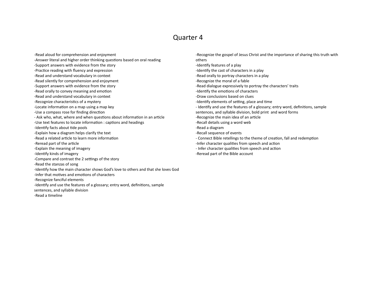- -Read aloud for comprehension and enjoyment
- -Answer literal and higher order thinking questions based on oral reading
- -Support answers with evidence from the story
- -Practice reading with fluency and expression
- -Read and understand vocabulary in context
- -Read silently for comprehension and enjoyment
- -Support answers with evidence from the story
- -Read orally to convey meaning and emotion
- -Read and understand vocabulary in context
- -Recognize characteristics of a mystery
- -Locate information on a map using a map key
- -Use a compass rose for finding direction
- Ask who, what, where and when questions about information in an article
- -Use text features to locate information : captions and headings
- -Identify facts about tide pools
- -Explain how a diagram helps clarify the text
- -Read a related article to learn more information
- -Reread part of the article
- -Explain the meaning of imagery
- -Identify kinds of imagery
- -Compare and contrast the 2 settings of the story
- -Read the stanzas of song
- -Identify how the main character shows God's love to others and that she loves God
- -Infer that motives and emotions of characters
- -Recognize fanciful elements
- -Identify and use the features of a glossary; entry word, definitions, sample
- sentences, and syllable division
- -Read a timeline
- -Recognize the gospel of Jesus Christ and the importance of sharing this truth with others -Identify features of a play -Identify the cast of characters in a play -Read orally to portray characters in a play -Recognize the moral of a fable -Read dialogue expressively to portray the characters' traits -Identify the emotions of characters -Draw conclusions based on clues -Identify elements of setting, place and time - Identify and use the features of a glossary; entry word, definitions, sample sentences, and syllable division, bold print and word forms -Recognize the main idea of an article -Recall details using a word web -Read a diagram -Recall sequence of events - Connect Bible retellings to the theme of creation, fall and redemption -Infer character qualities from speech and action
- Infer character qualities from speech and action
- -Reread part of the Bible account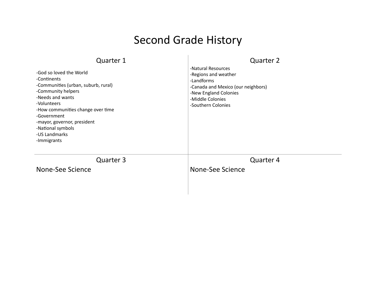## Second Grade History

| Quarter 1<br>-God so loved the World<br>-Continents<br>-Communities (urban, suburb, rural)<br>-Community helpers<br>-Needs and wants<br>-Volunteers<br>-How communities change over time<br>-Government<br>-mayor, governor, president<br>-National symbols<br>-US Landmarks<br>-Immigrants | <b>Quarter 2</b><br>-Natural Resources<br>-Regions and weather<br>-Landforms<br>-Canada and Mexico (our neighbors)<br>-New England Colonies<br>-Middle Colonies<br>-Southern Colonies |
|---------------------------------------------------------------------------------------------------------------------------------------------------------------------------------------------------------------------------------------------------------------------------------------------|---------------------------------------------------------------------------------------------------------------------------------------------------------------------------------------|
| Quarter 3                                                                                                                                                                                                                                                                                   | Quarter 4                                                                                                                                                                             |
| None-See Science                                                                                                                                                                                                                                                                            | None-See Science                                                                                                                                                                      |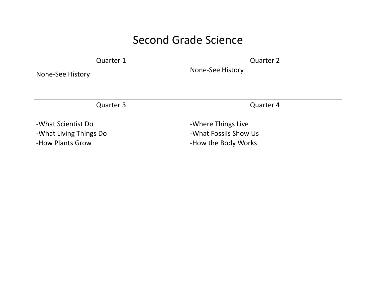### Second Grade Science

| Quarter 1              | <b>Quarter 2</b>      |
|------------------------|-----------------------|
| None-See History       | None-See History      |
| Quarter 3              | <b>Quarter 4</b>      |
| -What Scientist Do     | -Where Things Live    |
| -What Living Things Do | -What Fossils Show Us |
| -How Plants Grow       | -How the Body Works   |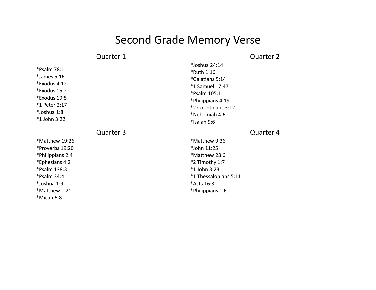# Second Grade Memory Verse

| <b>Quarter 1</b>                                                                                                                                     | Quarter 2                                                                                                                                                     |
|------------------------------------------------------------------------------------------------------------------------------------------------------|---------------------------------------------------------------------------------------------------------------------------------------------------------------|
| *Psalm 78:1<br>*James 5:16<br>*Exodus 4:12<br>*Exodus 15:2<br>*Exodus 19:5<br>*1 Peter 2:17<br>*Joshua 1:8<br>*1 John 3:22                           | *Joshua 24:14<br>*Ruth 1:16<br>*Galatians 5:14<br>*1 Samuel 17:47<br>*Psalm 105:1<br>*Philippians 4:19<br>*2 Corinthians 3:12<br>*Nehemiah 4:6<br>*Isaiah 9:6 |
| Quarter 3                                                                                                                                            | Quarter 4                                                                                                                                                     |
| *Matthew 19:26<br>*Proverbs 19:20<br>*Philippians 2:4<br>*Ephesians 4:2<br>*Psalm 138:3<br>*Psalm 34:4<br>*Joshua 1:9<br>*Matthew 1:21<br>*Micah 6:8 | *Matthew 9:36<br>*John 11:25<br>*Matthew 28:6<br>*2 Timothy 1:7<br>*1 John 3:23<br>*1 Thessalonians 5:11<br>*Acts 16:31<br>*Philippians 1:6                   |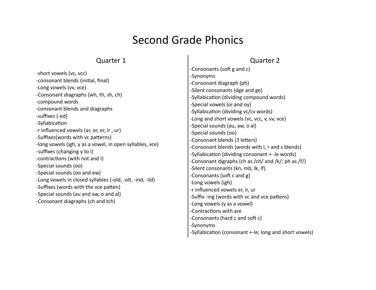## Second Grade Phonics

### Quarter 1

### Quarter 2

|                                                                                                                                                                               | -Consonants (soft g and c)                             |
|-------------------------------------------------------------------------------------------------------------------------------------------------------------------------------|--------------------------------------------------------|
| -short vowels (vc, vcc)                                                                                                                                                       | -Synonyms                                              |
| -consonant blends (initial, final)                                                                                                                                            | -Consonant diagraph (ph)                               |
| -Long vowels (vv, vce)                                                                                                                                                        | -Silent consonants (dge and ge)                        |
| -Consonant diagraphs (wh, th, sh, ch)<br>-compound words<br>-consonant blends and diagraphs<br>-suffixes (-ed)<br>-Syllabication<br>-r influenced vowels (ar, or, er, ir, ur) | -Syllabication (dividing compound words)               |
|                                                                                                                                                                               | -Special vowels (oi and oy)                            |
|                                                                                                                                                                               | -Syllabication (dividing vc/cv words)                  |
|                                                                                                                                                                               | -Long and short vowels (vc, vcc, v, vv, vce)           |
|                                                                                                                                                                               | -Special sounds (au, aw, o al)                         |
|                                                                                                                                                                               | -Special sounds (oo)                                   |
| -Suffixes (words with vc patterns)                                                                                                                                            | -Consonant blends (3 letters)                          |
| -long vowels (igh, y as a vowel, in open syllables, vce)                                                                                                                      | -Consonant blends (words with I, r and s blends)       |
| -suffixes (changing y to i)                                                                                                                                                   | -Syllabication (dividing consonant + -le words)        |
| -contractions (with not and I)                                                                                                                                                | -Consonant digraphs (ch as /ch/ and /k/; ph as /f/)    |
| -Special sounds (oo)                                                                                                                                                          | -Silent consonants (kn, mb, lk, lf)                    |
| -Special sounds (oo and ew)<br>-Long vowels in closed syllables (-old, -olt, -ind, -ild)<br>-Suffixes (words with the vce patten)                                             | -Consonants (soft c and g)                             |
|                                                                                                                                                                               | -Long vowels (igh)                                     |
|                                                                                                                                                                               | -r influenced vowels er, ir, ur                        |
| -Special sounds (au and aw, o and al)                                                                                                                                         | -Suffix -ing (words with vc and vce pattens)           |
| -Consonant diagraphs (ch and tch)                                                                                                                                             | -Long vowels (y as a vowel)                            |
|                                                                                                                                                                               | -Contractions with are                                 |
|                                                                                                                                                                               | -Consonants (hard c and soft c)                        |
|                                                                                                                                                                               | -Synonyms                                              |
|                                                                                                                                                                               | -Syllabication (consonant +-le; long and short vowels) |